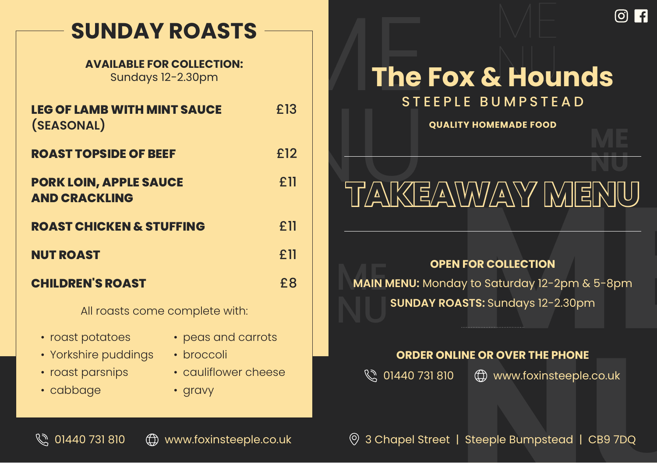## **SUNDAY ROASTS**

#### **AVAILABLE FOR COLLECTION:** Sundays 12-2.30pm

| <b>LEG OF LAMB WITH MINT SAUCE</b><br>(SEASONAL)      | £13 |
|-------------------------------------------------------|-----|
| <b>ROAST TOPSIDE OF BEEF</b>                          | £12 |
| <b>PORK LOIN, APPLE SAUCE</b><br><b>AND CRACKLING</b> | £11 |
| <b>ROAST CHICKEN &amp; STUFFING</b>                   | £11 |
| <b>NUT ROAST</b>                                      | £11 |
| <b>CHILDREN'S ROAST</b>                               | £8  |
| All us sisters a new a series of the critical         |     |

All roasts come complete with:

- roast potatoes
- Yorkshire puddings
- roast parsnips
- cabbage
- peas and carrots
- broccoli
- cauliflower cheese
- gravy

# The Fox & Hounds  $\begin{array}{c} \begin{array}{c} \mathbf{m} \\ \mathbf{m} \end{array} \\ \begin{array}{c} \mathbf{m} \\ \mathbf{m} \end{array} \end{array}$ STEEPLE BUMPSTEAD

**QUALITY HOMEMADE FOOD**

# **NU** RU RUE AWARDE FOOD<br>NU TAKEAWAY MENU

#### **OPEN FOR COLLECTION**

**HEOR COLLECTION**<br>The Saturday 12-2pm & 5-8pm<br>**ASTS:** Sundays 12-2.30pm<br>**ME OR OVER THE PHONE**<br>THE OR OVER THE PHONE<br>THE OR WWW.foxinsteeple.co.uk MAIN N **MAIN MENU:** Monday to Saturday 12-2pm & 5-8pm **SUNDAY ROASTS:** Sundays 12-2.30pm

#### **ORDER ONLINE OR OVER THE PHONE**

© 01440 731 810 (c) www.foxinsteeple.co.uk

⊕ www.foxinsteeple.co.uk<br>│ Steeple Bumpstead │ CB9 7DQ  $\mathbb{Q}$  01440 731 810  $\oplus$  www.foxinsteeple.co.uk  $\circ$  3 Chapel Street | Steeple Bumpstead | CB9 7DQ

**ME**